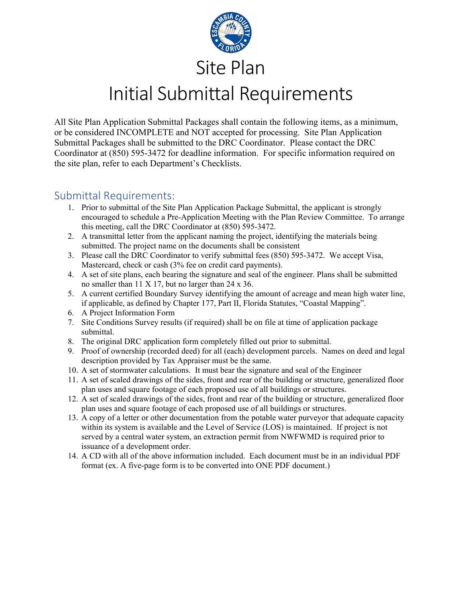

## Initial Submittal Requirements

All Site Plan Application Submittal Packages shall contain the following items, as a minimum, or be considered INCOMPLETE and NOT accepted for processing. Site Plan Application Submittal Packages shall be submitted to the DRC Coordinator. Please contact the DRC Coordinator at (850) 595-3472 for deadline information. For specific information required on the site plan, refer to each Department's Checklists.

## Submittal Requirements:

- 1. Prior to submittal of the Site Plan Application Package Submittal, the applicant is strongly encouraged to schedule a Pre-Application Meeting with the Plan Review Committee. To arrange this meeting, call the DRC Coordinator at (850) 595-3472.
- 2. A transmittal letter from the applicant naming the project, identifying the materials being submitted. The project name on the documents shall be consistent
- 3. Please call the DRC Coordinator to verify submittal fees (850) 595-3472. We accept Visa, Mastercard, check or cash (3% fee on credit card payments).
- 4. A set of site plans, each bearing the signature and seal of the engineer. Plans shall be submitted no smaller than 11 X 17, but no larger than 24 x 36.
- 5. A current certified Boundary Survey identifying the amount of acreage and mean high water line, if applicable, as defined by Chapter 177, Part II, Florida Statutes, "Coastal Mapping".
- 6. A Project Information Form
- 7. Site Conditions Survey results (if required) shall be on file at time of application package submittal.
- 8. The original DRC application form completely filled out prior to submittal.
- 9. Proof of ownership (recorded deed) for all (each) development parcels. Names on deed and legal description provided by Tax Appraiser must be the same.
- 10. A set of stormwater calculations. It must bear the signature and seal of the Engineer
- 11. A set of scaled drawings of the sides, front and rear of the building or structure, generalized floor plan uses and square footage of each proposed use of all buildings or structures.
- 12. A set of scaled drawings of the sides, front and rear of the building or structure, generalized floor plan uses and square footage of each proposed use of all buildings or structures.
- 13. A copy of a letter or other documentation from the potable water purveyor that adequate capacity within its system is available and the Level of Service (LOS) is maintained. If project is not served by a central water system, an extraction permit from NWFWMD is required prior to issuance of a development order.
- 14. A CD with all of the above information included. Each document must be in an individual PDF format (ex. A five-page form is to be converted into ONE PDF document.)